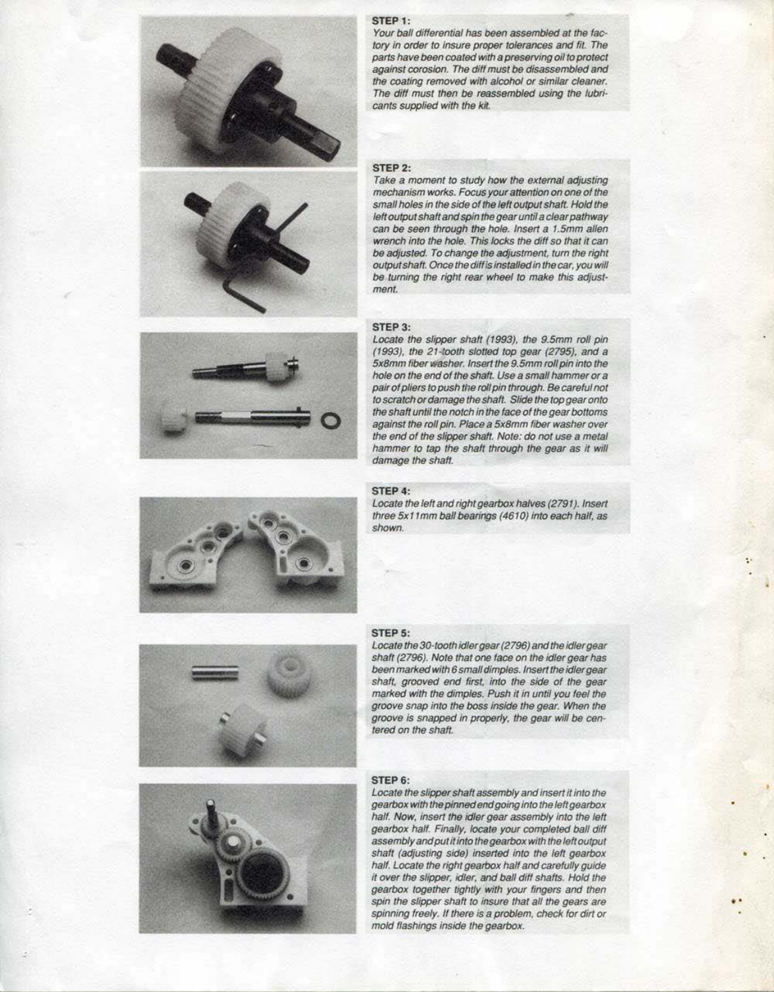. .







#### **STEP 1:**

Your ball differential has been assembled at the factory in order to insure proper tolerances and fit. The parts have been coated with a preserving oil to protect against corosion. The diff must be disassembled and the coating removed with alcohol or similar cleaner. The diff must then be reassembled using the lubricants supplied with the kit

#### **STEP 2:**

Take a moment to study how the external adjusting mechanism works. Focus your attention on one of the small holes in the side of the left output shaft. Hold the left output shaft and spin the gear until a clear pathway can be seen through the hole. Insert a 1.5mm allen wrench into the hole. This locks the diff so that it can be adjusted. To change the adjustment, turn the right output shaft. Once the diff is installed in the car, you will be turning the right rear wheel to make this adjustment.

Locate the left and right gearbox halves (2791). Insert three 5x11 mm ball bearings (4610) into each half, as shown.

## **STEP** 3:

Locate the slipper shaft (1993), the 9.5mm roll pin (1993), the 21-tooth slotted top gear (2795), and a 5x8mm fiber washer. Insert the 9.5mm roll pin into the hole on the end of the shaft. Use a small hammer or a pair of pliers to push the roll pin through. *Be* careful not to scratch or damage the shaft. Slide the top gear onto the shaft until the notch in the *face* of the gear bottoms against the roll pin. Place a 5x8mm fiber washer over the end of the slipper shaft. Nota: *do* not use a metal hammer to tap the shaft through the gear as it will damage the shaft.



## **STEP 4:**

### **STEP 5:**

Locate the 30-tooth idler gear (2796) and the idler gear shaft (2796). Note that one face on the idler gear has been marked with 6 small dimples. Insert the idler gear shaft, grooved end first, into the side of the gear marked with the dimples. Push it in until you feel the groove snap into the boss inside the gear. When the groove is snapped in properly, the gear will be can· tered on the shaft.

## **STEP 6:**

Locate the slipper shaft assembly and insert it into the gearbox with the pinned end going into the left gearbox half. Now, insert the idler gear assembly into the left gearbox half. Finally, locate your completed ball diff assembly and put *it* into the gearbox with the left output shaft (adjusting side) inserted into the left gearbox half. Locate the right gearbox half and carefully guide<br>It over the slipper, idler, and ball diff shafts. Hold the gearbox together tightly with your fingers and then spin the slipper shaft to insure that all the gears are spinning freely. If there is a problem, check tor dirt or mold flashings inside the gearbox.

, .

•

•

•

•

••

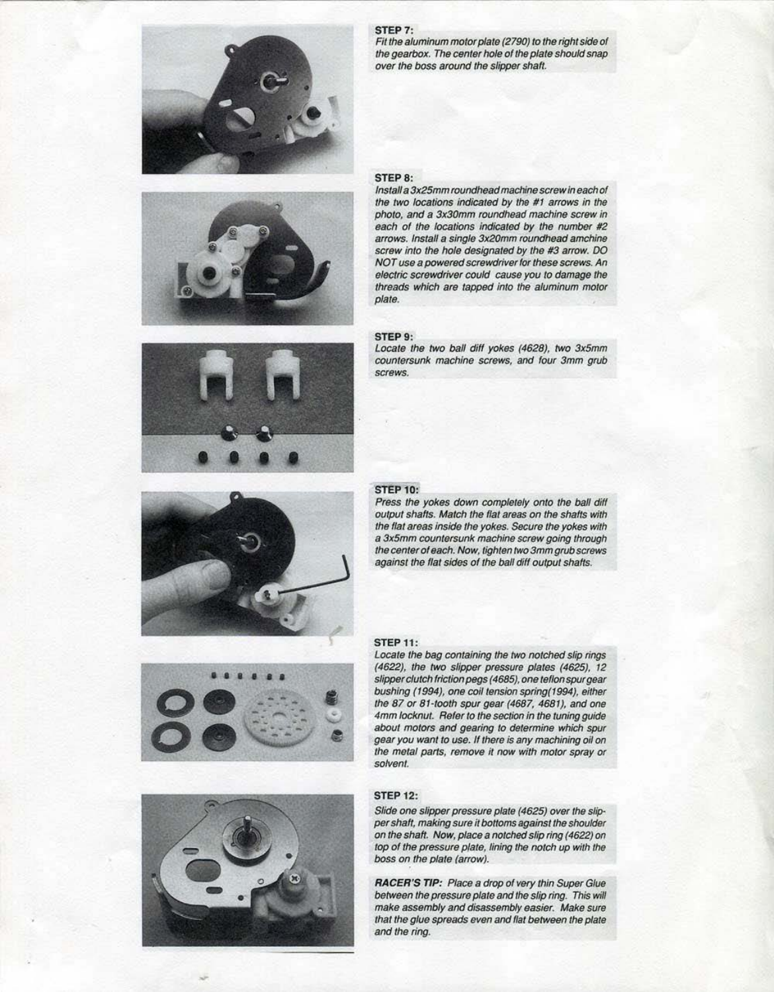







Fit the aluminum motor plate (2790) to the right side of the gearbox. The center hole of the plate should snap over the boss around the slipper shaft.

## **STEP 8:**





Locate the two ball diff yokes (4628), two 3x5mm countersunk machine screws, and four 3mm grub **screws.** 



Install a 3x25mm roundhead machine screw In each of the two locations indicated by the #1 arrows in *the*  photo, and a 3x30mm roundhead machine screw in each of the locations indicated by the number #2 arrows. Install a single 3x20mm roundhead amchine screw into the hole designated by the #3 arrow. DO NOT use a powered screwdriver lor these screws. An electric screwdriver could cause you to damage the threads which are tapped into the aluminum motor plate.

#### **STEP** 9:

#### **STEP 10:**

Press the yokes down completely onto the ball diff output shafts. Match the flat areas on the shafts with the flat areas inside the yokes. Secure the yokes with a 3x5mm countersunk machine screw going through the center of each. Now, tighten two 3mm grub screws against the flat sides of the ball diff output shafts.

Slide one slipper pressure plate (4625) over the slipper shalt, making sure it bottoms against the shoulder on the shaft. Now, place a notched slip ring (4622) on top of the pressure plate, lining the notch up with the boss on the plate (arrow).

## **STEP 11:**

Locate the bag containing the *two* notched slip rings (4622), the *two* slipper pressure plates {4625), 12 slipper clutch friction pegs (4685), one teflon spur gear bushing (1994), one coil tension spring(1994), either

the 87 or 81-tooth spur gear (4687, 4681), and one 4mm locknut. Refer to the section in the tuning guide about motors and gearing to determine which spur gear you want to use. If there is any machining oil on the metal parts, remove it now with motor spray or solvent.

## **STEP 12:**

**RACER'S TIP:** Place a drop of very thin Super Glue between the pressure plate and the slip ring. This will make assembly and disassembly easier. Make sure that the glue spreads even and flat between the plate and the ring.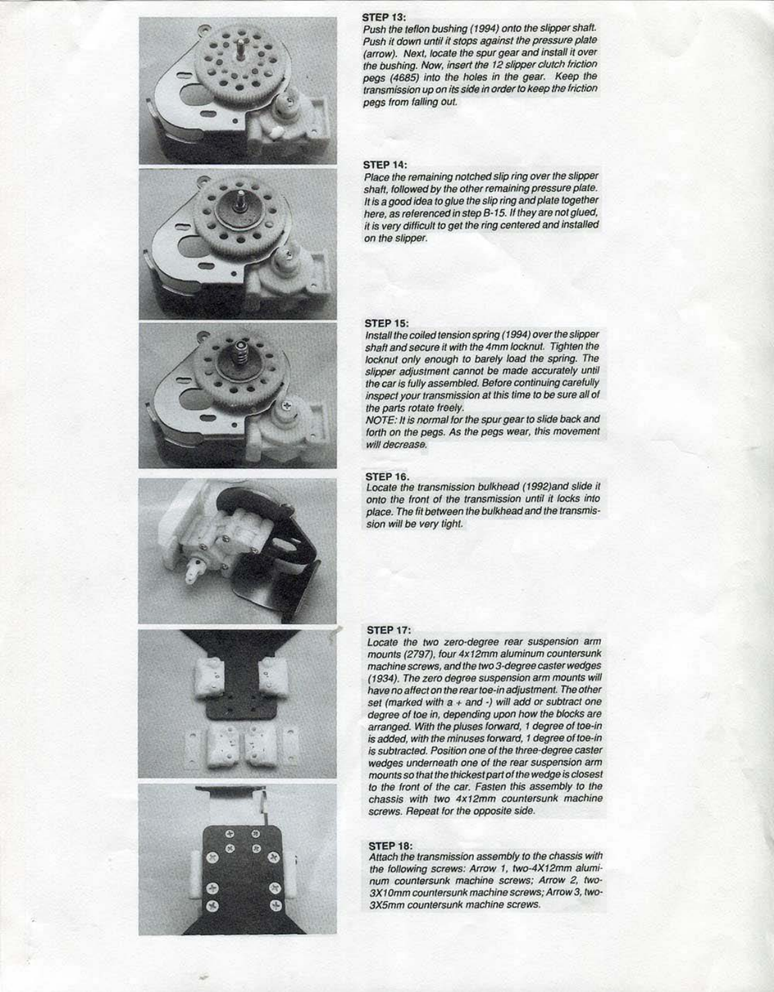









-

#### **STEP 13:**

Push the teflon bushing (1994) onto the slipper shaft. Push it down until it stops against the pressure plate (arrow}. Next. locate the spur gear and install it over the bushing. Now, insert the 12 slipper clutch friction pegs (4685) into the holes in the gear. Keep the transmission up on its side in order to keep the friction pegs from falling out.

Place the remaining notched slip ring over the slipper shaft, followed by the other remaining pressure plate. It is a good idea to glue the slip ring and plate together here, as referenced in step B-15. If they are not glued, it is very difficult to get the ring centered and installed on the slipper.

#### **STEP 14:**

#### **STEP 15:**

Install the coiled tension spring (1994) over the slipper shaft and secure it with the 4mm locknut. Tighten the locknut only enough to barely load the spring. The slipper adjustment cannot be made accurately until the car is fully assembled. Before continuing carefully inspect your transmission at this time to *be* sure all of the parts rotate freely.

NOTE: It is normal for the spur gear to slide back and forth on the pegs. *As* the pegs wear, this movement will decrease.

Attach the transmission assembly to the chassis with the following screws: Arrow 1, two-4X12mm aluminum countersunk machine screws; Arrow 2, *two·*  3X1 Omm countersunk machine screws; Arrow 3, *two·*  3X5mm countersunk machine screws.

#### **STEP 16.**

Locate the transmission bulkhead (1992}and slide it onto the front of the transmission until it locks into place. The fit between the bulkhead and the transmisslon will *be* very tight.

## **STEP 11:**

Locate the two zero-degree rear suspension arm mounts (2797), four 4x12mm aluminum countersunk machine screws, and the two 3-degree caster wedges (1934}. The zero degree suspension arm mounts will have no affect on the rear toe-in adjustment. The other set (marked with  $a +$  and  $\cdot$ ) will add or subtract one degree of toe in, depending upon how the blocks are arranged. With the pluses forward, 1 degree of toe-in is added, with the minuses forward, 1 degree of toe-in is subtracted. Position one of the three-degree caster wedges underneath one of the rear suspension arm mounts so that the thickest part of the wedge is closest to the front of the car. Fasten this assembly to the chassis with two 4x 12mm countersunk machine screws. Repeat tor the opposite side.

#### **STEP 18:**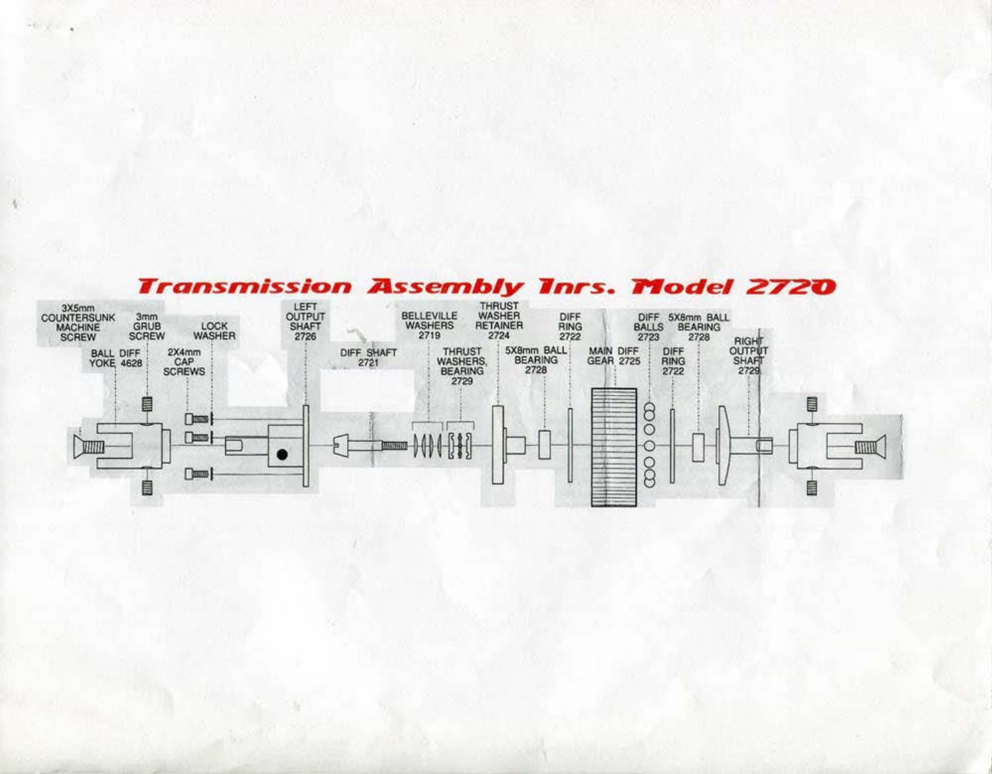# **Transmission Assembly Tnrs. Model 2720**

**RESOURCE** 

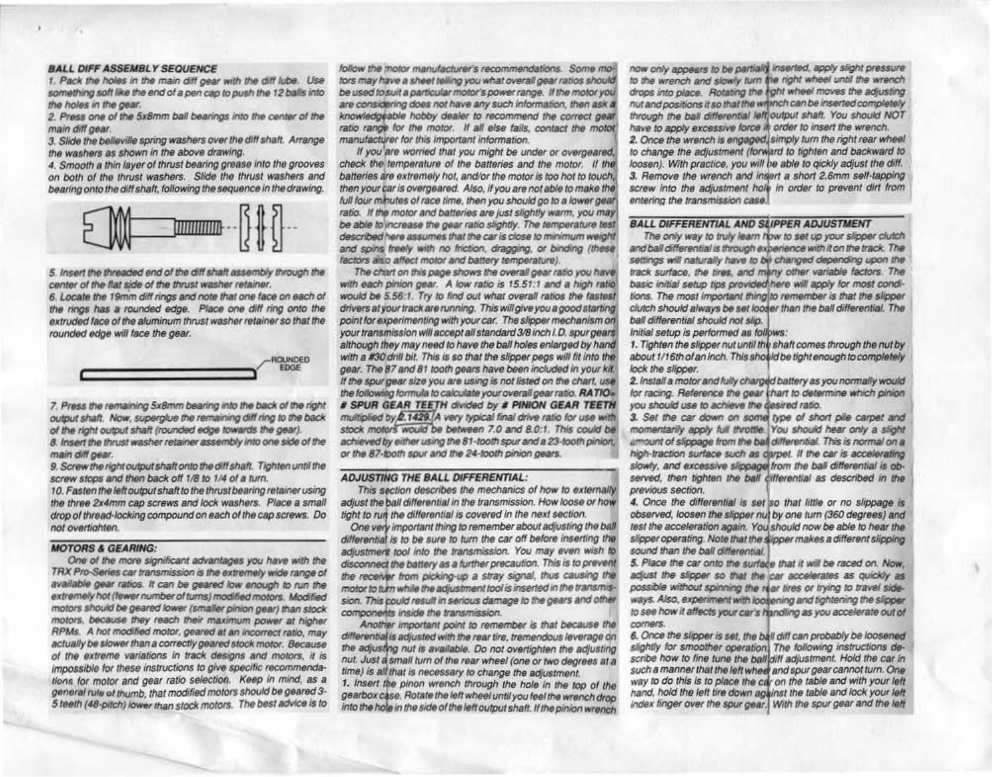#### **BALL DIFF ASSEMBLY SEQUENCE**

1. Pack the holes in the main diff gear with the diff lube. Use something soft like the end of a pen cap to push the 12 balls into the holes in the gear.

2. Press one of the 5x8mm ball bearings into the center of the main diff gear.

3. Slide the believille spring washers over the diff shaft. Arrange the washers as shown in the above drawing.

4. Smooth a thin layer of thrust bearing grease into the grooves on both of the thrust washers. Slide the thrust washers and bearing onto the diff shaft, following the sequence in the drawing.



5. Insert the threaded end of the diff shaft assembly through the center of the flat side of the thrust washer retainer.

6. Locate the 19mm diff rings and note that one face on each of the rings has a rounded edge. Place one diff ring onto the extruded face of the aluminum thrust washer retainer so that the rounded edge will face the gear.



7. Press the remaining 5x8mm bearing into the back of the right output shaft. Now, superglue the remaining diff ring to the back of the right output shaft (rounded edge towards the gear).

8. Insert the thrust washer retainer assembly into one side of the main diff gear.

9. Screw the right output shaft onto the diff shaft. Tighten until the screw stops and then back off 1/8 to 1/4 of a turn.

10. Fasten the left output shaft to the thrust bearing retainer using the three 2x4mm cap screws and lock washers. Place a small drop of thread-locking compound on each of the cap screws. Do not overtighten.

#### **MOTORS & GEARING:**

One of the more significant advantages you have with the TRX Pro-Series car transmission is the extremely wide range of available gear ratios. It can be geared low enough to run the extremely hot (fewer number of turns) modified motors. Modified motors should be geared lower (smaller pinion gear) than stock motors, because they reach their maximum power at higher RPMs. A hot modified motor, geared at an incorrect ratio, may actually be slower than a correctly geared stock motor. Because of the extreme variations in track designs and motors, it is impossible for these instructions to give specific recommendations for motor and gear ratio selection. Keep in mind, as a general rule of thumb, that modified motors should be geared 3-5 teeth (48-pitch) lower than stock motors. The best advice is to

follow the motor manufacturer's recommendations. Some motors may have a sheet telling you what overall gear ratios should be used to suit a particular motor's power range. If the motor you are considering does not have any such information, then ask a knowledgeable hobby dealer to recommend the correct gear. ratio range for the motor. If all else fails, contact the motor manufacturer for this important information.

If you are worried that you might be under or overgeared, check the temperature of the batteries and the motor. If the batteries are extremely hot, and/or the motor is too hot to touch, then your car is overgeared. Also, if you are not able to make the full four minutes of race time, then you should go to a lower gear ratio. If the motor and batteries are just slightly warm, you may be able to increase the gear ratio slightly. The temperature test described here assumes that the car is close to minimum weight and spins freely with no friction, dragging, or binding (these) factors also affect motor and battery temperature).

The chart on this page shows the overall gear ratio you have with each pinion gear. A low ratio is 15.51:1 and a high ratio would be 5.56:1. Try to find out what overall ratios the fastest drivers at your track are running. This will give you a good starting point for experimenting with your car. The slipper mechanism on your transmission will accept all standard 3/8 inch I.D. spur gears although they may need to have the ball holes enlarged by hand with a #30 drill bit. This is so that the slipper pegs will fit into the gear. The 87 and 81 tooth gears have been included in your kit. If the spurgear size you are using is not listed on the chart, use the following formula to calculate your overall gear ratio. RATIO= # SPUR GEAR TEETH divided by # PINION GEAR TEETH multiplied by 2.1429. A very typical final drive ratio for use with stock motors would be between 7.0 and 8.0:1. This could be achieved by either using the 81-tooth spur and a 23-tooth pinion, or the 87-tooth spur and the 24-tooth pinion gears.

#### **ADJUSTING THE BALL DIFFERENTIAL:**

This section describes the mechanics of how to externally adjust the ball differential in the transmission. How loose or how tight to run the differential is covered in the next section.

One very important thing to remember about adjusting the ball differential is to be sure to turn the car off before inserting the adjustment tool into the transmission. You may even wish to disconnect the battery as a further precaution. This is to prevent the receiver from picking-up a stray signal, thus causing the motor to turn while the adjustment tool is inserted in the transmission. This could result in serious damage to the gears and other components inside the transmission.

Another important point to remember is that because the differential is adjusted with the rear tire, tremendous leverage on the adjusting nut is available. Do not overtighten the adjusting nut. Just a small turn of the rear wheel (one or two degrees at a time) is all that is necessary to change the adjustment.

1. Insert the pinon wrench through the hole in the top of the gearbox case. Rotate the left wheel until you feel the wrench drop into the hole in the side of the left output shaft. If the pinion wrench

now only appears to be partially inserted, apply slight pressure to the wrench and slowly turn the right wheel until the wrench drops into place. Rotating the right wheel moves the adjusting nut and positions it so that the writech can be inserted completely through the ball differential left output shaft. You should NOT have to apply excessive force if order to insert the wrench.

2. Once the wrench is engaged simply turn the right rear wheel to change the adjustment (forward to tighten and backward to loosen). With practice, you will be able to gickly adjust the diff. 3. Remove the wrench and insert a short 2.6mm self-tapping screw into the adjustment hole in order to prevent dirt from entering the transmission case.

#### **BALL DIFFERENTIAL AND SLIPPER ADJUSTMENT**

The only way to truly learn how to set up your slipper clutch and ball differential is through experience with it on the track. The settings will naturally have to be changed depending upon the track surface, the tires, and many other variable factors. The basic initial setup tips provided here will apply for most conditions. The most important thing to remember is that the slipper clutch should always be set looser than the ball differential. The ball differential should not slip.

Initial setup is performed as follows:

1. Tighten the slipper nut until the shaft comes through the nut by about 1/16th of an inch. This should be tight enough to completely lock the slipper.

2. Install a motor and fully charged battery as you normally would for racing. Reference the gear thart to determine which pinion you should use to achieve the desired ratio.

3. Set the car down on some type of short pile carpet and momentarily apply full throttle. You should hear only a slight amount of slippage from the ball differential. This is normal on a high-traction surface such as darpet. If the car is accelerating slowly, and excessive slippage from the ball differential is observed, then tighten the ball cillerential as described in the previous section.

4. Once the differential is set so that little or no slippage is observed, loosen the slipper nut by one turn (360 degrees) and test the acceleration again. You should now be able to hear the slipper operating. Note that the slipper makes a different slipping sound than the ball differential.

5. Place the car onto the surface that it will be raced on. Now, adjust the slipper so that the car accelerates as quickly as possible without spinning the rear tires or trying to travel sideways. Also, experiment with loosening and tightening the slipper to see how it affects your car's handling as you accelerate out of corners.

6. Once the slipper is set, the ball diff can probably be loosened slightly for smoother operation) The following instructions describe how to fine tune the ball diff adjustment. Hold the car in such a manner that the left wheel and spur gear cannot turn. One way to do this is to place the car on the table and with your left hand, hold the left tire down against the table and lock your left index finger over the spur gear. With the spur gear and the left